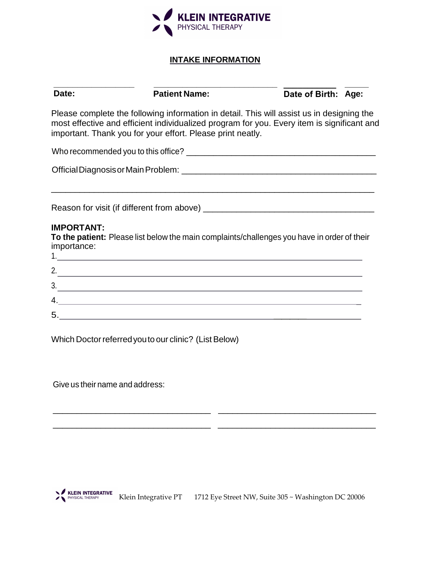

## **INTAKE INFORMATION**

| Date:                            | <b>Patient Name:</b>                                                                                                                                                                                                                                  | Date of Birth: Age: |
|----------------------------------|-------------------------------------------------------------------------------------------------------------------------------------------------------------------------------------------------------------------------------------------------------|---------------------|
|                                  | Please complete the following information in detail. This will assist us in designing the<br>most effective and efficient individualized program for you. Every item is significant and<br>important. Thank you for your effort. Please print neatly. |                     |
|                                  |                                                                                                                                                                                                                                                       |                     |
|                                  |                                                                                                                                                                                                                                                       |                     |
|                                  |                                                                                                                                                                                                                                                       |                     |
|                                  |                                                                                                                                                                                                                                                       |                     |
| <b>IMPORTANT:</b><br>importance: | To the patient: Please list below the main complaints/challenges you have in order of their                                                                                                                                                           |                     |
|                                  |                                                                                                                                                                                                                                                       |                     |
|                                  |                                                                                                                                                                                                                                                       |                     |
|                                  |                                                                                                                                                                                                                                                       |                     |
|                                  | $\frac{3}{2}$<br>4.                                                                                                                                                                                                                                   |                     |

\_\_\_\_\_\_\_\_\_\_\_\_\_\_\_\_\_\_\_\_\_\_\_\_\_\_\_\_\_\_\_\_\_ \_\_\_\_\_\_\_\_\_\_\_\_\_\_\_\_\_\_\_\_\_\_\_\_\_\_\_\_\_\_\_\_\_

\_\_\_\_\_\_\_\_\_\_\_\_\_\_\_\_\_\_\_\_\_\_\_\_\_\_\_\_\_\_\_\_\_ \_\_\_\_\_\_\_\_\_\_\_\_\_\_\_\_\_\_\_\_\_\_\_\_\_\_\_\_\_\_\_\_\_

Which Doctor referred you to our clinic? (List Below)

Give us their name and address:

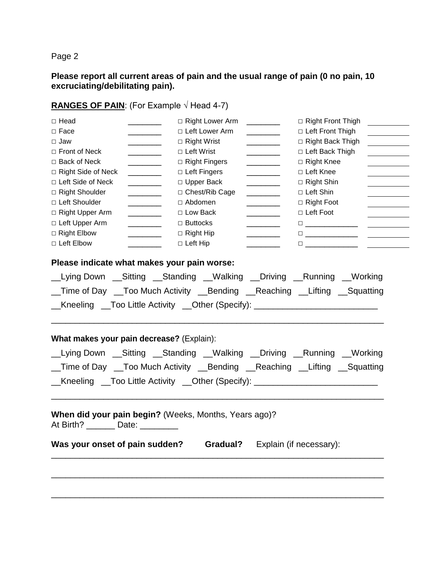### **Please report all current areas of pain and the usual range of pain (0 no pain, 10 excruciating/debilitating pain).**

## **RANGES OF PAIN**: (For Example √ Head 4-7)

| □ Head                    | □ Right Lower Arm    | □ Right Front Thigh     |
|---------------------------|----------------------|-------------------------|
| $\Box$ Face               | □ Left Lower Arm     | □ Left Front Thigh      |
| $\Box$ Jaw                | $\Box$ Right Wrist   | $\Box$ Right Back Thigh |
| $\Box$ Front of Neck      | □ Left Wrist         | □ Left Back Thigh       |
| $\Box$ Back of Neck       | $\Box$ Right Fingers | $\Box$ Right Knee       |
| $\Box$ Right Side of Neck | □ Left Fingers       | $\Box$ Left Knee        |
| □ Left Side of Neck       | □ Upper Back         | $\Box$ Right Shin       |
| □ Right Shoulder          | □ Chest/Rib Cage     | □ Left Shin             |
| □ Left Shoulder           | □ Abdomen            | $\Box$ Right Foot       |
| □ Right Upper Arm         | $\Box$ Low Back      | $\Box$ Left Foot        |
| □ Left Upper Arm          | $\Box$ Buttocks      |                         |
| $\Box$ Right Elbow        | $\Box$ Right Hip     |                         |
| $\Box$ Left Elbow         | $\Box$ Left Hip      |                         |

### **Please indicate what makes your pain worse:**

| Lying Down Latting Latending Laten Walking Lativing Latenning Latending     |  |  |  |
|-----------------------------------------------------------------------------|--|--|--|
| _Time of Day __Too Much Activity __Bending __Reaching __Lifting __Squatting |  |  |  |
| <b>Kneeling Too Little Activity Cother (Specify):</b>                       |  |  |  |

\_\_\_\_\_\_\_\_\_\_\_\_\_\_\_\_\_\_\_\_\_\_\_\_\_\_\_\_\_\_\_\_\_\_\_\_\_\_\_\_\_\_\_\_\_\_\_\_\_\_\_\_\_\_\_\_\_\_\_\_\_\_\_\_\_\_\_\_\_\_

## **What makes your pain decrease?** (Explain):

| Lying Down Lastting Latanding Lataking Lativing Latanning Lating                 |  |  |  |
|----------------------------------------------------------------------------------|--|--|--|
| __Time of Day __Too Much Activity __Bending __Reaching __Lifting __Squatting     |  |  |  |
| __Kneeling __Too Little Activity __Other (Specify): ____________________________ |  |  |  |

\_\_\_\_\_\_\_\_\_\_\_\_\_\_\_\_\_\_\_\_\_\_\_\_\_\_\_\_\_\_\_\_\_\_\_\_\_\_\_\_\_\_\_\_\_\_\_\_\_\_\_\_\_\_\_\_\_\_\_\_\_\_\_\_\_\_\_\_\_\_

\_\_\_\_\_\_\_\_\_\_\_\_\_\_\_\_\_\_\_\_\_\_\_\_\_\_\_\_\_\_\_\_\_\_\_\_\_\_\_\_\_\_\_\_\_\_\_\_\_\_\_\_\_\_\_\_\_\_\_\_\_\_\_\_\_\_\_\_\_\_

\_\_\_\_\_\_\_\_\_\_\_\_\_\_\_\_\_\_\_\_\_\_\_\_\_\_\_\_\_\_\_\_\_\_\_\_\_\_\_\_\_\_\_\_\_\_\_\_\_\_\_\_\_\_\_\_\_\_\_\_\_\_\_\_\_\_\_\_\_\_

\_\_\_\_\_\_\_\_\_\_\_\_\_\_\_\_\_\_\_\_\_\_\_\_\_\_\_\_\_\_\_\_\_\_\_\_\_\_\_\_\_\_\_\_\_\_\_\_\_\_\_\_\_\_\_\_\_\_\_\_\_\_\_\_\_\_\_\_\_\_

# **When did your pain begin?** (Weeks, Months, Years ago)?

| At Birth? | Date: |  |
|-----------|-------|--|
|-----------|-------|--|

**Was your onset of pain sudden? Gradual?** Explain (if necessary):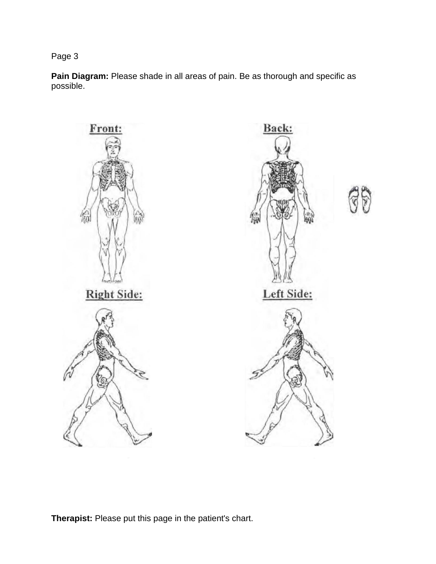**Pain Diagram:** Please shade in all areas of pain. Be as thorough and specific as possible.



**Therapist:** Please put this page in the patient's chart.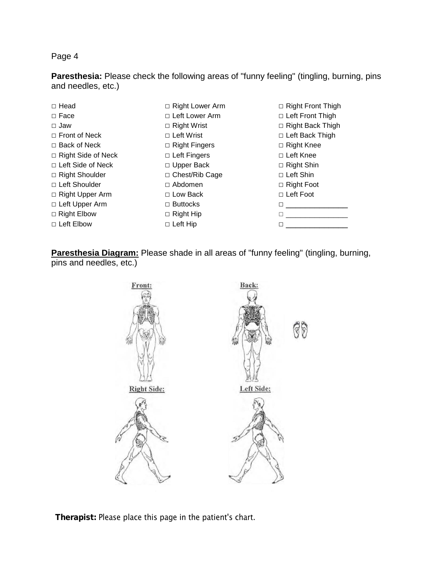**Paresthesia:** Please check the following areas of "funny feeling" (tingling, burning, pins and needles, etc.)

| $\Box$ Head               | $\Box$ Right Lower Arm | $\Box$ Right Front Thigh |  |
|---------------------------|------------------------|--------------------------|--|
| $\Box$ Face               | □ Left Lower Arm       | □ Left Front Thigh       |  |
| $\square$ Jaw             | $\Box$ Right Wrist     | $\Box$ Right Back Thigh  |  |
| $\Box$ Front of Neck      | $\Box$ Left Wrist      | $\Box$ Left Back Thigh   |  |
| $\Box$ Back of Neck       | $\Box$ Right Fingers   | $\Box$ Right Knee        |  |
| $\Box$ Right Side of Neck | □ Left Fingers         | □ Left Knee              |  |
| □ Left Side of Neck       | $\Box$ Upper Back      | $\Box$ Right Shin        |  |
| □ Right Shoulder          | $\Box$ Chest/Rib Cage  | □ Left Shin              |  |
| □ Left Shoulder           | $\Box$ Abdomen         | $\Box$ Right Foot        |  |
| □ Right Upper Arm         | $\Box$ Low Back        | $\Box$ Left Foot         |  |
| □ Left Upper Arm          | $\Box$ Buttocks        | H                        |  |
| $\Box$ Right Elbow        | $\Box$ Right Hip       |                          |  |
| $\Box$ Left Elbow         | $\Box$ Left Hip        | П                        |  |

**Paresthesia Diagram:** Please shade in all areas of "funny feeling" (tingling, burning, pins and needles, etc.)



Therapist: Please place this page in the patient's chart.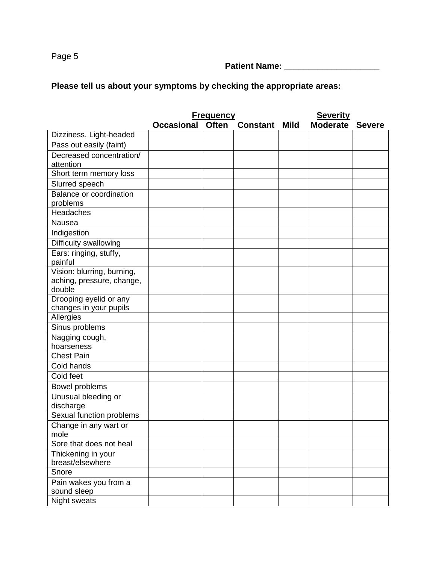## **Patient Name: \_\_\_\_\_\_\_\_\_\_\_\_\_\_\_\_\_\_\_\_**

# **Please tell us about your symptoms by checking the appropriate areas:**

|                                   | <b>Frequency</b>  |              |                 |             | <b>Severity</b> |               |  |
|-----------------------------------|-------------------|--------------|-----------------|-------------|-----------------|---------------|--|
|                                   | <b>Occasional</b> | <b>Often</b> | <b>Constant</b> | <b>Mild</b> | <b>Moderate</b> | <b>Severe</b> |  |
| Dizziness, Light-headed           |                   |              |                 |             |                 |               |  |
| Pass out easily (faint)           |                   |              |                 |             |                 |               |  |
| Decreased concentration/          |                   |              |                 |             |                 |               |  |
| attention                         |                   |              |                 |             |                 |               |  |
| Short term memory loss            |                   |              |                 |             |                 |               |  |
| Slurred speech                    |                   |              |                 |             |                 |               |  |
| Balance or coordination           |                   |              |                 |             |                 |               |  |
| problems                          |                   |              |                 |             |                 |               |  |
| <b>Headaches</b>                  |                   |              |                 |             |                 |               |  |
| Nausea                            |                   |              |                 |             |                 |               |  |
| Indigestion                       |                   |              |                 |             |                 |               |  |
| Difficulty swallowing             |                   |              |                 |             |                 |               |  |
| Ears: ringing, stuffy,<br>painful |                   |              |                 |             |                 |               |  |
| Vision: blurring, burning,        |                   |              |                 |             |                 |               |  |
| aching, pressure, change,         |                   |              |                 |             |                 |               |  |
| double                            |                   |              |                 |             |                 |               |  |
| Drooping eyelid or any            |                   |              |                 |             |                 |               |  |
| changes in your pupils            |                   |              |                 |             |                 |               |  |
| Allergies                         |                   |              |                 |             |                 |               |  |
| Sinus problems                    |                   |              |                 |             |                 |               |  |
| Nagging cough,                    |                   |              |                 |             |                 |               |  |
| hoarseness<br><b>Chest Pain</b>   |                   |              |                 |             |                 |               |  |
|                                   |                   |              |                 |             |                 |               |  |
| Cold hands                        |                   |              |                 |             |                 |               |  |
| Cold feet                         |                   |              |                 |             |                 |               |  |
| Bowel problems                    |                   |              |                 |             |                 |               |  |
| Unusual bleeding or<br>discharge  |                   |              |                 |             |                 |               |  |
| Sexual function problems          |                   |              |                 |             |                 |               |  |
| Change in any wart or<br>mole     |                   |              |                 |             |                 |               |  |
| Sore that does not heal           |                   |              |                 |             |                 |               |  |
| Thickening in your                |                   |              |                 |             |                 |               |  |
| breast/elsewhere                  |                   |              |                 |             |                 |               |  |
| Snore                             |                   |              |                 |             |                 |               |  |
| Pain wakes you from a             |                   |              |                 |             |                 |               |  |
| sound sleep                       |                   |              |                 |             |                 |               |  |
| Night sweats                      |                   |              |                 |             |                 |               |  |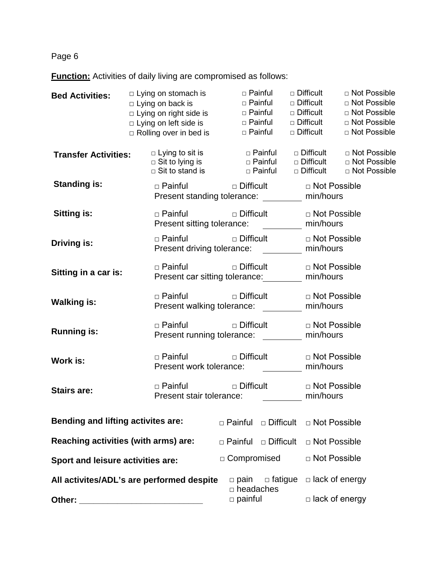**Function:** Activities of daily living are compromised as follows:

| <b>Bed Activities:</b>                    | $\Box$ Lying on stomach is<br>$\Box$ Lying on back is<br>$\Box$ Lying on right side is $\Box$ Painful<br>$\Box$ Lying on left side is $\Box$ Painful<br>$\Box$ Rolling over in bed is | □ Painful<br>terricionale di Painful<br>□ Painful                                | $\Box$ Difficult<br>$\Box$ Difficult<br>$\Box$ Difficult<br>$\Box$ Difficult<br>$\Box$ Difficult | □ Not Possible<br>□ Not Possible<br>□ Not Possible<br>□ Not Possible<br>□ Not Possible |
|-------------------------------------------|---------------------------------------------------------------------------------------------------------------------------------------------------------------------------------------|----------------------------------------------------------------------------------|--------------------------------------------------------------------------------------------------|----------------------------------------------------------------------------------------|
| <b>Transfer Activities:</b>               | $\Box$ Lying to sit is<br>$\Box$ Sit to lying is<br>$\Box$ Sit to stand is                                                                                                            | □ Painful<br>□ Painful                                                           | □ Difficult<br>□ Painful   □ Difficult<br>$\Box$ Difficult                                       | □ Not Possible<br>□ Not Possible<br>□ Not Possible                                     |
| <b>Standing is:</b>                       |                                                                                                                                                                                       | □ Painful □ Difficult □ Not Possible<br>Present standing tolerance: min/hours    |                                                                                                  |                                                                                        |
| <b>Sitting is:</b>                        |                                                                                                                                                                                       | □ Painful      □ Difficult<br>Present sitting tolerance: min/hours               | □ Not Possible                                                                                   |                                                                                        |
| Driving is:                               | $\Box$ Painful                                                                                                                                                                        | $\Box$ Difficult<br>Present driving tolerance: min/hours                         | □ Not Possible                                                                                   |                                                                                        |
| Sitting in a car is:                      |                                                                                                                                                                                       | □ Painful □ Difficult □ Not Possible<br>Present car sitting tolerance: min/hours |                                                                                                  |                                                                                        |
| <b>Walking is:</b>                        |                                                                                                                                                                                       | □ Painful □ Difficult □ Not Possible<br>Present walking tolerance: _             | min/hours                                                                                        |                                                                                        |
| <b>Running is:</b>                        |                                                                                                                                                                                       | □ Painful      □ Difficult<br>Present running tolerance:                         | □ Not Possible<br>min/hours                                                                      |                                                                                        |
| <b>Work is:</b>                           |                                                                                                                                                                                       | Present work tolerance:                                                          | □ Painful □ Difficult □ Not Possible<br>min/hours                                                |                                                                                        |
| <b>Stairs are:</b>                        | $\Box$ Painful<br>Present stair tolerance:                                                                                                                                            | $\Box$ Difficult                                                                 | □ Not Possible<br>min/hours                                                                      |                                                                                        |
| <b>Bending and lifting activites are:</b> |                                                                                                                                                                                       | □ Difficult<br>□ Painful                                                         | □ Not Possible                                                                                   |                                                                                        |
| Reaching activities (with arms) are:      |                                                                                                                                                                                       | □ Painful<br>$\Box$ Difficult                                                    | □ Not Possible                                                                                   |                                                                                        |
| Sport and leisure activities are:         |                                                                                                                                                                                       | □ Compromised                                                                    | □ Not Possible                                                                                   |                                                                                        |
|                                           | All activites/ADL's are performed despite                                                                                                                                             | $\Box$ fatigue<br>$\Box$ pain<br>$\Box$ headaches                                |                                                                                                  | $\Box$ lack of energy                                                                  |
| Other:                                    |                                                                                                                                                                                       | $\Box$ painful                                                                   |                                                                                                  | $\Box$ lack of energy                                                                  |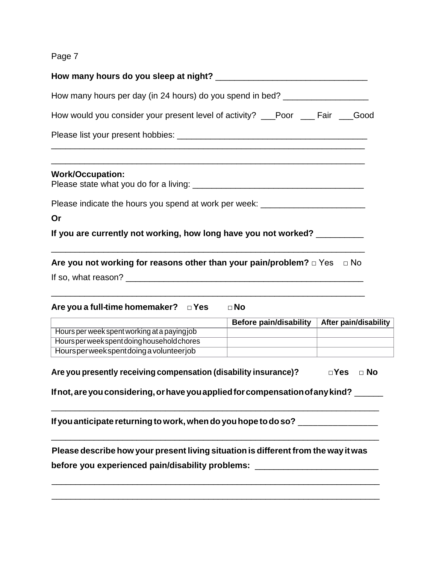| How many hours per day (in 24 hours) do you spend in bed? ______________________                                                                                       |                        |                       |
|------------------------------------------------------------------------------------------------------------------------------------------------------------------------|------------------------|-----------------------|
| How would you consider your present level of activity? __Poor ___ Fair ___Good                                                                                         |                        |                       |
|                                                                                                                                                                        |                        |                       |
| <b>Work/Occupation:</b>                                                                                                                                                |                        |                       |
| Please indicate the hours you spend at work per week: __________________________                                                                                       |                        |                       |
| Or                                                                                                                                                                     |                        |                       |
| If you are currently not working, how long have you not worked? _________                                                                                              |                        |                       |
|                                                                                                                                                                        |                        |                       |
| Are you a full-time homemaker?<br>□ Yes                                                                                                                                | $\Box$ No              |                       |
| Hours per week spent working at a paying job                                                                                                                           | Before pain/disability | After pain/disability |
| Hours per week spent doing household chores                                                                                                                            |                        |                       |
| Hours per week spent doing a volunteer job                                                                                                                             |                        |                       |
| Are you presently receiving compensation (disability insurance)?<br>If not, are you considering, or have you applied for compensation of any kind? _____               |                        | ⊡Yes<br>$\Box$ No     |
| If you anticipate returning to work, when do you hope to do so? ________________                                                                                       |                        |                       |
| Please describe how your present living situation is different from the way it was<br>before you experienced pain/disability problems: _______________________________ |                        |                       |
|                                                                                                                                                                        |                        |                       |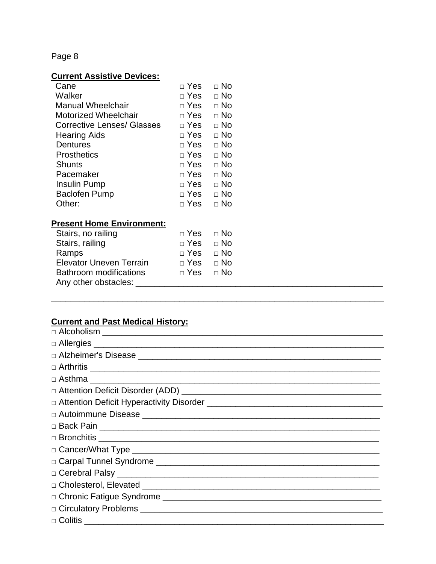## **Current Assistive Devices:**

| Cane                              | $\sqcap$ Yes | $\sqcap$ No |
|-----------------------------------|--------------|-------------|
| Walker                            | $\Box$ Yes   | $\Box$ No   |
| <b>Manual Wheelchair</b>          | $\Box$ Yes   | $\sqcap$ No |
| <b>Motorized Wheelchair</b>       | $\sqcap$ Yes | ⊓ No        |
| <b>Corrective Lenses/ Glasses</b> | $\sqcap$ Yes | ⊓ No        |
| <b>Hearing Aids</b>               | $\sqcap$ Yes | ⊓ No        |
| <b>Dentures</b>                   | $\sqcap$ Yes | ⊓ No        |
| <b>Prosthetics</b>                | $\sqcap$ Yes | ⊓ No        |
| <b>Shunts</b>                     | $\sqcap$ Yes | ⊓ No        |
| Pacemaker                         | $\sqcap$ Yes | $\sqcap$ No |
| Insulin Pump                      | $\Box$ Yes   | ⊓ No        |
| <b>Baclofen Pump</b>              | □ Yes        | $\Box$ No   |
| Other:                            | ⊓ Yes        | □ No        |

## **Present Home Environment:**

| Stairs, no railing      | □ Yes | $\Box$ No   |
|-------------------------|-------|-------------|
| Stairs, railing         | □ Yes | $\sqcap$ No |
| Ramps                   | □ Yes | $\sqcap$ No |
| Elevator Uneven Terrain | □ Yes | $\sqcap$ No |
| Bathroom modifications  | □ Yes | $\Box$ No   |
| Any other obstacles:    |       |             |

## **Current and Past Medical History:**

| D Alzheimer's Disease <b>Disease Disease Disease Disease and Disease and Disease and Disease and Disease and Disease and Disease and Disease and Disease and Disease and Disease and Disease and Disease and Disease and D</b> |
|--------------------------------------------------------------------------------------------------------------------------------------------------------------------------------------------------------------------------------|
|                                                                                                                                                                                                                                |
|                                                                                                                                                                                                                                |
|                                                                                                                                                                                                                                |
|                                                                                                                                                                                                                                |
|                                                                                                                                                                                                                                |
|                                                                                                                                                                                                                                |
|                                                                                                                                                                                                                                |
|                                                                                                                                                                                                                                |
|                                                                                                                                                                                                                                |
|                                                                                                                                                                                                                                |
|                                                                                                                                                                                                                                |
|                                                                                                                                                                                                                                |
|                                                                                                                                                                                                                                |
|                                                                                                                                                                                                                                |

\_\_\_\_\_\_\_\_\_\_\_\_\_\_\_\_\_\_\_\_\_\_\_\_\_\_\_\_\_\_\_\_\_\_\_\_\_\_\_\_\_\_\_\_\_\_\_\_\_\_\_\_\_\_\_\_\_\_\_\_\_\_\_\_\_\_\_\_\_\_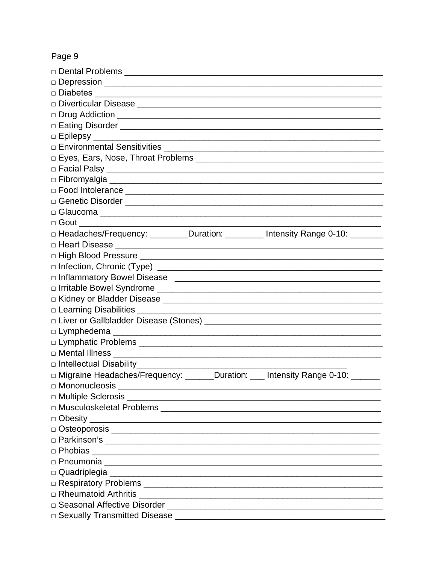| □ Headaches/Frequency: _________Duration: _________ Intensity Range 0-10: ______                                                                                                                                               |  |
|--------------------------------------------------------------------------------------------------------------------------------------------------------------------------------------------------------------------------------|--|
|                                                                                                                                                                                                                                |  |
|                                                                                                                                                                                                                                |  |
|                                                                                                                                                                                                                                |  |
|                                                                                                                                                                                                                                |  |
|                                                                                                                                                                                                                                |  |
|                                                                                                                                                                                                                                |  |
|                                                                                                                                                                                                                                |  |
|                                                                                                                                                                                                                                |  |
|                                                                                                                                                                                                                                |  |
|                                                                                                                                                                                                                                |  |
|                                                                                                                                                                                                                                |  |
|                                                                                                                                                                                                                                |  |
| □ Migraine Headaches/Frequency: ______Duration: ___ Intensity Range 0-10: ______                                                                                                                                               |  |
| $\Box$ Mononucleosis                                                                                                                                                                                                           |  |
|                                                                                                                                                                                                                                |  |
|                                                                                                                                                                                                                                |  |
| $\Box$ Obesity $\Box$                                                                                                                                                                                                          |  |
|                                                                                                                                                                                                                                |  |
|                                                                                                                                                                                                                                |  |
|                                                                                                                                                                                                                                |  |
|                                                                                                                                                                                                                                |  |
|                                                                                                                                                                                                                                |  |
|                                                                                                                                                                                                                                |  |
| D Rheumatoid Arthritis <b>Communication and Communication</b> and Rheumatoid Arthritis                                                                                                                                         |  |
| Discussional Affective Disorder [1984] [1984] [1984] [1984] [1984] [1984] [1984] [1984] [1984] [1984] [1984] [1984] [1984] [1984] [1984] [1984] [1984] [1984] [1984] [1984] [1984] [1984] [1984] [1984] [1984] [1984] [1984] [ |  |
|                                                                                                                                                                                                                                |  |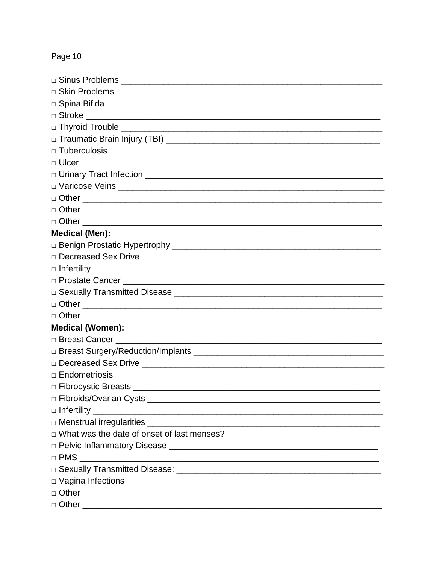| D Varicose Veins <b>Constanting Constanting Constanting Constanting Constanting Constanting Constanting Constanting Constanting Constanting Constanting Constanting Constanting Constanting Constanting Constanting Constanting </b> |
|--------------------------------------------------------------------------------------------------------------------------------------------------------------------------------------------------------------------------------------|
|                                                                                                                                                                                                                                      |
|                                                                                                                                                                                                                                      |
|                                                                                                                                                                                                                                      |
| <b>Medical (Men):</b>                                                                                                                                                                                                                |
|                                                                                                                                                                                                                                      |
|                                                                                                                                                                                                                                      |
|                                                                                                                                                                                                                                      |
|                                                                                                                                                                                                                                      |
|                                                                                                                                                                                                                                      |
|                                                                                                                                                                                                                                      |
|                                                                                                                                                                                                                                      |
| <b>Medical (Women):</b>                                                                                                                                                                                                              |
|                                                                                                                                                                                                                                      |
|                                                                                                                                                                                                                                      |
|                                                                                                                                                                                                                                      |
|                                                                                                                                                                                                                                      |
|                                                                                                                                                                                                                                      |
|                                                                                                                                                                                                                                      |
| $\Box$ Infertility $\Box$                                                                                                                                                                                                            |
|                                                                                                                                                                                                                                      |
|                                                                                                                                                                                                                                      |
|                                                                                                                                                                                                                                      |
|                                                                                                                                                                                                                                      |
|                                                                                                                                                                                                                                      |
|                                                                                                                                                                                                                                      |
|                                                                                                                                                                                                                                      |
| $\Box$ Other                                                                                                                                                                                                                         |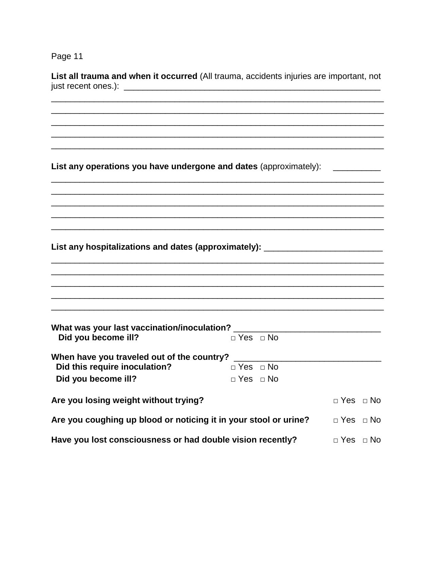| List all trauma and when it occurred (All trauma, accidents injuries are important, not |  |  |  |
|-----------------------------------------------------------------------------------------|--|--|--|
| just recent ones.):                                                                     |  |  |  |

List any operations you have undergone and dates (approximately): \_\_\_\_\_\_\_\_\_\_

| List any hospitalizations and dates (approximately): ___________________________ |                                              |                      |  |
|----------------------------------------------------------------------------------|----------------------------------------------|----------------------|--|
|                                                                                  |                                              |                      |  |
|                                                                                  |                                              |                      |  |
| Did you become ill?                                                              | $\Box$ Yes $\Box$ No                         |                      |  |
| When have you traveled out of the country?                                       |                                              |                      |  |
| Did this require inoculation?<br>Did you become ill?                             | $\Box$ Yes $\Box$ No<br>$\Box$ Yes $\Box$ No |                      |  |
| Are you losing weight without trying?                                            |                                              | $\Box$ Yes $\Box$ No |  |
| Are you coughing up blood or noticing it in your stool or urine?                 |                                              | $\Box$ Yes $\Box$ No |  |
| Have you lost consciousness or had double vision recently?                       |                                              | $\Box$ Yes $\Box$ No |  |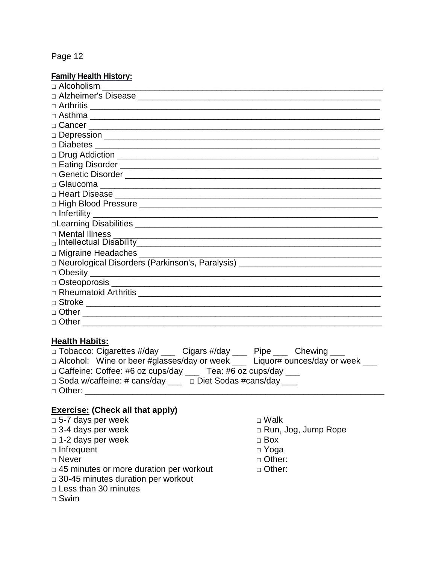#### **Family Health History:**

| □ Alcoholism ________________________________                                                                                       |
|-------------------------------------------------------------------------------------------------------------------------------------|
|                                                                                                                                     |
|                                                                                                                                     |
|                                                                                                                                     |
|                                                                                                                                     |
|                                                                                                                                     |
|                                                                                                                                     |
|                                                                                                                                     |
|                                                                                                                                     |
|                                                                                                                                     |
|                                                                                                                                     |
|                                                                                                                                     |
|                                                                                                                                     |
|                                                                                                                                     |
|                                                                                                                                     |
| □ Mental Illness                                                                                                                    |
|                                                                                                                                     |
| □ Migraine Headaches _________________<br>the control of the control of the control of the control of the control of the control of |
| □ Neurological Disorders (Parkinson's, Paralysis) ______________________________                                                    |
|                                                                                                                                     |
|                                                                                                                                     |
|                                                                                                                                     |
|                                                                                                                                     |
|                                                                                                                                     |
|                                                                                                                                     |
| والماجليل والمارور والمرارا                                                                                                         |

### **Health Habits:** □ Tobacco: Cigarettes #/day \_\_\_ Cigars #/day \_\_\_ Pipe \_\_\_ Chewing \_\_\_ □ Alcohol: Wine or beer #glasses/day or week \_\_\_ Liquor# ounces/day or week \_\_\_ □ Caffeine: Coffee: #6 oz cups/day \_\_\_ Tea: #6 oz cups/day \_\_\_

- □ Soda w/caffeine: # cans/day \_\_\_ □ Diet Sodas #cans/day \_\_\_
- □ Other: \_\_\_\_\_\_\_\_\_\_\_\_\_\_\_\_\_\_\_\_\_\_\_\_\_\_\_\_\_\_\_\_\_\_\_\_\_\_\_\_\_\_\_\_\_\_\_\_\_\_\_\_\_\_\_\_\_\_\_\_\_\_\_

### **Exercise: (Check all that apply)**

- □ 5-7 days per week □ Nalk
- 
- □ 1-2 days per week □ Box
- □ Infrequent □ Noga
- □ Never □ Other:
- □ 45 minutes or more duration per workout □ Other:
- □ 30-45 minutes duration per workout
- □ Less than 30 minutes
- $\sqcap$  Swim
- 
- □ 3-4 days per week □ Pun, Jog, Jump Rope
	-
	-
	-
	-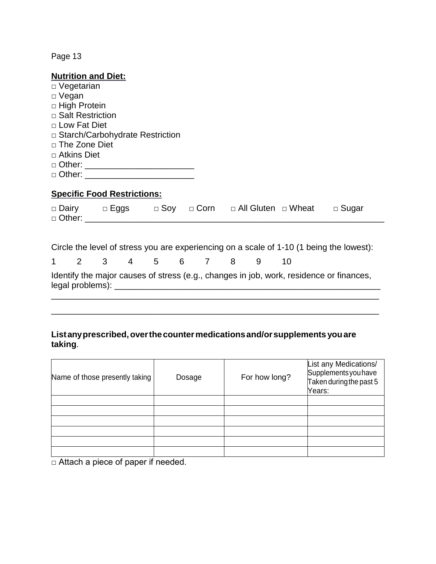| <b>Nutrition and Diet:</b><br>□ Vegetarian<br>$\Box$ Vegan<br>□ High Protein                                                   |   |    |              |
|--------------------------------------------------------------------------------------------------------------------------------|---|----|--------------|
| □ Salt Restriction<br>$\sqcap$ Low Fat Diet<br>□ Starch/Carbohydrate Restriction<br>$\Box$ The Zone Diet<br>$\Box$ Atkins Diet |   |    |              |
| □ Other: ___________________________<br>□ Other: __________________________________                                            |   |    |              |
| <b>Specific Food Restrictions:</b><br>□ Dairy □ Eggs □ Soy □ Corn □ All Gluten □ Wheat                                         |   |    | $\Box$ Sugar |
| Circle the level of stress you are experiencing on a scale of 1-10 (1 being the lowest):                                       |   |    |              |
| 3 4 5 6 7 8<br>$2^{\circ}$<br>$\mathbf 1$                                                                                      | 9 | 10 |              |
| Identify the major causes of stress (e.g., changes in job, work, residence or finances,                                        |   |    |              |
|                                                                                                                                |   |    |              |

#### **Listanyprescribed,overthe countermedicationsand/orsupplements youare taking**.

| Name of those presently taking | Dosage | For how long? | List any Medications/<br>Supplements you have<br>Taken during the past 5<br>Years: |
|--------------------------------|--------|---------------|------------------------------------------------------------------------------------|
|                                |        |               |                                                                                    |
|                                |        |               |                                                                                    |
|                                |        |               |                                                                                    |
|                                |        |               |                                                                                    |
|                                |        |               |                                                                                    |
|                                |        |               |                                                                                    |

□ Attach a piece of paper if needed.